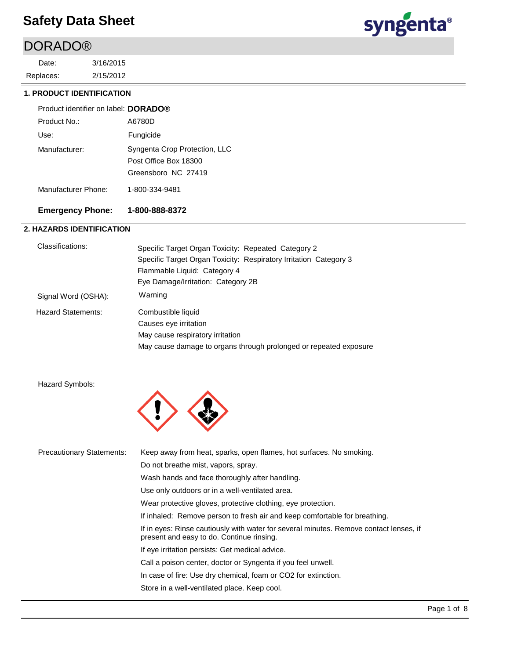### DORADO®

2/15/2012 3/16/2015 Replaces: Date:



### **1. PRODUCT IDENTIFICATION**

| Product identifier on label: DORADO® |                               |  |
|--------------------------------------|-------------------------------|--|
| Product No.:                         | A6780D                        |  |
| Use:                                 | Fungicide                     |  |
| Manufacturer:                        | Syngenta Crop Protection, LLC |  |
|                                      | Post Office Box 18300         |  |
|                                      | Greensboro NC 27419           |  |
| Manufacturer Phone:                  | 1-800-334-9481                |  |

### **Emergency Phone: 1-800-888-8372**

### **2. HAZARDS IDENTIFICATION**

| Classifications:    | Specific Target Organ Toxicity: Repeated Category 2               |
|---------------------|-------------------------------------------------------------------|
|                     | Specific Target Organ Toxicity: Respiratory Irritation Category 3 |
|                     | Flammable Liquid: Category 4                                      |
|                     | Eye Damage/Irritation: Category 2B                                |
| Signal Word (OSHA): | Warning                                                           |
| Hazard Statements:  | Combustible liquid                                                |
|                     | Causes eye irritation                                             |
|                     | May cause respiratory irritation                                  |
|                     | May cause damage to organs through prolonged or repeated exposure |
|                     |                                                                   |

Hazard Symbols:



| <b>Precautionary Statements:</b> | Keep away from heat, sparks, open flames, hot surfaces. No smoking.                                                                 |
|----------------------------------|-------------------------------------------------------------------------------------------------------------------------------------|
|                                  | Do not breathe mist, vapors, spray.                                                                                                 |
|                                  | Wash hands and face thoroughly after handling.                                                                                      |
|                                  | Use only outdoors or in a well-ventilated area.                                                                                     |
|                                  | Wear protective gloves, protective clothing, eye protection.                                                                        |
|                                  | If inhaled: Remove person to fresh air and keep comfortable for breathing.                                                          |
|                                  | If in eyes: Rinse cautiously with water for several minutes. Remove contact lenses, if<br>present and easy to do. Continue rinsing. |
|                                  | If eye irritation persists: Get medical advice.                                                                                     |
|                                  | Call a poison center, doctor or Syngenta if you feel unwell.                                                                        |
|                                  | In case of fire: Use dry chemical, foam or CO2 for extinction.                                                                      |
|                                  | Store in a well-ventilated place. Keep cool.                                                                                        |
|                                  |                                                                                                                                     |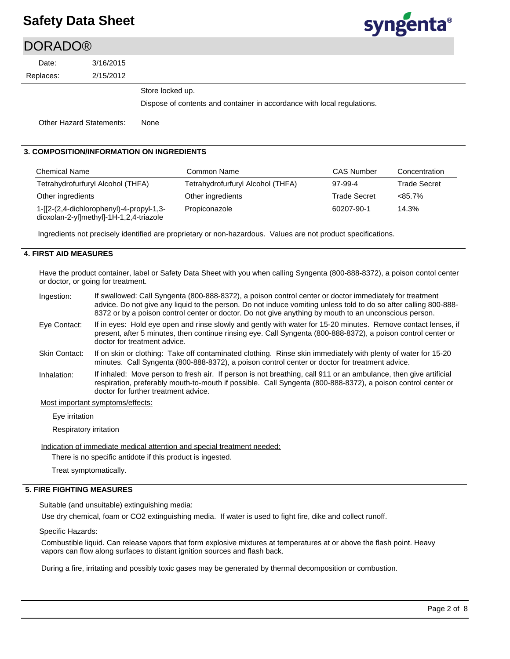$\overline{D}$ 

# syngenta®

| <b>DORADO®</b> |                                 |                                                                         |
|----------------|---------------------------------|-------------------------------------------------------------------------|
| Date:          | 3/16/2015                       |                                                                         |
| Replaces:      | 2/15/2012                       |                                                                         |
|                |                                 | Store locked up.                                                        |
|                |                                 | Dispose of contents and container in accordance with local regulations. |
|                | <b>Other Hazard Statements:</b> | None                                                                    |

### **3. COMPOSITION/INFORMATION ON INGREDIENTS**

| <b>Chemical Name</b>                                                                | Common Name                       | <b>CAS Number</b>   | Concentration       |
|-------------------------------------------------------------------------------------|-----------------------------------|---------------------|---------------------|
| Tetrahydrofurfuryl Alcohol (THFA)                                                   | Tetrahydrofurfuryl Alcohol (THFA) | 97-99-4             | <b>Trade Secret</b> |
| Other ingredients                                                                   | Other ingredients                 | <b>Trade Secret</b> | $<85.7\%$           |
| 1-[[2-(2,4-dichlorophenyl)-4-propyl-1,3-<br>dioxolan-2-yl]methyl]-1H-1,2,4-triazole | Propiconazole                     | 60207-90-1          | 14.3%               |

Ingredients not precisely identified are proprietary or non-hazardous. Values are not product specifications.

### **4. FIRST AID MEASURES**

Have the product container, label or Safety Data Sheet with you when calling Syngenta (800-888-8372), a poison contol center or doctor, or going for treatment.

| Ingestion:   | If swallowed: Call Syngenta (800-888-8372), a poison control center or doctor immediately for treatment<br>advice. Do not give any liquid to the person. Do not induce vomiting unless told to do so after calling 800-888-<br>8372 or by a poison control center or doctor. Do not give anything by mouth to an unconscious person. |
|--------------|--------------------------------------------------------------------------------------------------------------------------------------------------------------------------------------------------------------------------------------------------------------------------------------------------------------------------------------|
| Eye Contact: | If in eyes: Hold eye open and rinse slowly and gently with water for 15-20 minutes. Remove contact lenses, if<br>present, after 5 minutes, then continue rinsing eye. Call Syngenta (800-888-8372), a poison control center or<br>doctor for treatment advice.                                                                       |

- If on skin or clothing: Take off contaminated clothing. Rinse skin immediately with plenty of water for 15-20 minutes. Call Syngenta (800-888-8372), a poison control center or doctor for treatment advice. Skin Contact:
- If inhaled: Move person to fresh air. If person is not breathing, call 911 or an ambulance, then give artificial respiration, preferably mouth-to-mouth if possible. Call Syngenta (800-888-8372), a poison control center or doctor for further treatment advice. Inhalation:

### Most important symptoms/effects:

Eye irritation

Respiratory irritation

Indication of immediate medical attention and special treatment needed:

There is no specific antidote if this product is ingested.

Treat symptomatically.

### **5. FIRE FIGHTING MEASURES**

Suitable (and unsuitable) extinguishing media:

Use dry chemical, foam or CO2 extinguishing media. If water is used to fight fire, dike and collect runoff.

Specific Hazards:

Combustible liquid. Can release vapors that form explosive mixtures at temperatures at or above the flash point. Heavy vapors can flow along surfaces to distant ignition sources and flash back.

During a fire, irritating and possibly toxic gases may be generated by thermal decomposition or combustion.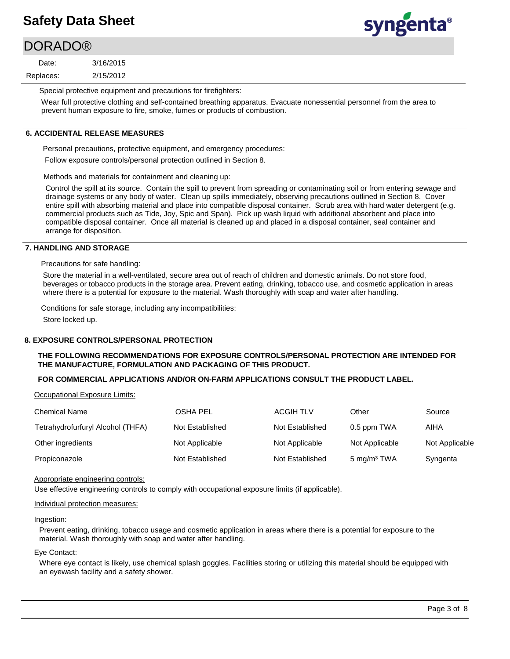### **DORADO®**

2/15/2012 3/16/2015 Replaces: Date:



Special protective equipment and precautions for firefighters:

Wear full protective clothing and self-contained breathing apparatus. Evacuate nonessential personnel from the area to prevent human exposure to fire, smoke, fumes or products of combustion.

### **6. ACCIDENTAL RELEASE MEASURES**

Personal precautions, protective equipment, and emergency procedures:

Follow exposure controls/personal protection outlined in Section 8.

Methods and materials for containment and cleaning up:

Control the spill at its source. Contain the spill to prevent from spreading or contaminating soil or from entering sewage and drainage systems or any body of water. Clean up spills immediately, observing precautions outlined in Section 8. Cover entire spill with absorbing material and place into compatible disposal container. Scrub area with hard water detergent (e.g. commercial products such as Tide, Joy, Spic and Span). Pick up wash liquid with additional absorbent and place into compatible disposal container. Once all material is cleaned up and placed in a disposal container, seal container and arrange for disposition.

### **7. HANDLING AND STORAGE**

Precautions for safe handling:

Store the material in a well-ventilated, secure area out of reach of children and domestic animals. Do not store food, beverages or tobacco products in the storage area. Prevent eating, drinking, tobacco use, and cosmetic application in areas where there is a potential for exposure to the material. Wash thoroughly with soap and water after handling.

Conditions for safe storage, including any incompatibilities:

Store locked up.

### **8. EXPOSURE CONTROLS/PERSONAL PROTECTION**

### **THE FOLLOWING RECOMMENDATIONS FOR EXPOSURE CONTROLS/PERSONAL PROTECTION ARE INTENDED FOR THE MANUFACTURE, FORMULATION AND PACKAGING OF THIS PRODUCT.**

### **FOR COMMERCIAL APPLICATIONS AND/OR ON-FARM APPLICATIONS CONSULT THE PRODUCT LABEL.**

Occupational Exposure Limits:

| <b>Chemical Name</b>              | <b>OSHA PEL</b> | <b>ACGIH TLV</b> | Other                   | Source         |
|-----------------------------------|-----------------|------------------|-------------------------|----------------|
| Tetrahydrofurfuryl Alcohol (THFA) | Not Established | Not Established  | 0.5 ppm TWA             | AIHA           |
| Other ingredients                 | Not Applicable  | Not Applicable   | Not Applicable          | Not Applicable |
| Propiconazole                     | Not Established | Not Established  | 5 mg/m <sup>3</sup> TWA | Syngenta       |

Appropriate engineering controls:

Use effective engineering controls to comply with occupational exposure limits (if applicable).

### Individual protection measures:

Ingestion:

Prevent eating, drinking, tobacco usage and cosmetic application in areas where there is a potential for exposure to the material. Wash thoroughly with soap and water after handling.

#### Eye Contact:

Where eye contact is likely, use chemical splash goggles. Facilities storing or utilizing this material should be equipped with an eyewash facility and a safety shower.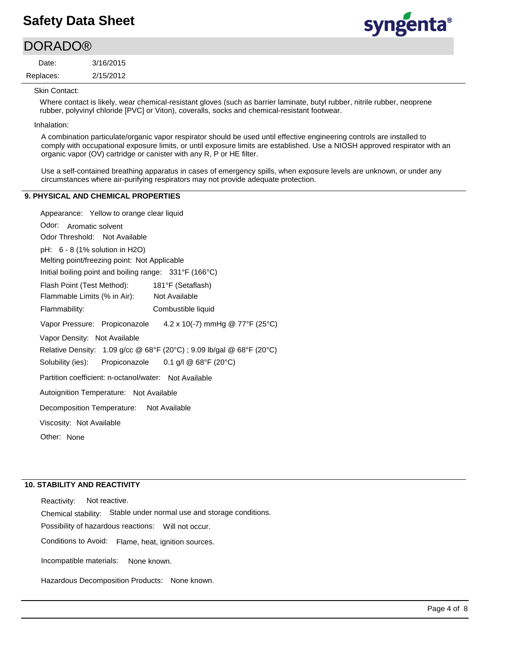### **DORADO®**

2/15/2012 3/16/2015 Replaces: Date:



Skin Contact:

Where contact is likely, wear chemical-resistant gloves (such as barrier laminate, butyl rubber, nitrile rubber, neoprene rubber, polyvinyl chloride [PVC] or Viton), coveralls, socks and chemical-resistant footwear.

Inhalation:

A combination particulate/organic vapor respirator should be used until effective engineering controls are installed to comply with occupational exposure limits, or until exposure limits are established. Use a NIOSH approved respirator with an organic vapor (OV) cartridge or canister with any R, P or HE filter.

Use a self-contained breathing apparatus in cases of emergency spills, when exposure levels are unknown, or under any circumstances where air-purifying respirators may not provide adequate protection.

### **9. PHYSICAL AND CHEMICAL PROPERTIES**

Appearance: Yellow to orange clear liquid

Odor: Aromatic solvent Vapor Pressure: Propiconazole Solubility (ies): pH: 6 - 8 (1% solution in H2O) Initial boiling point and boiling range: 331°F (166°C) Melting point/freezing point: Not Applicable Odor Threshold: Not Available Not Available Flammability: Combustible liquid 181°F (Setaflash) Autoignition Temperature: Not Available Flash Point (Test Method): Flammable Limits (% in Air): Vapor Density: Not Available Relative Density: 1.09 g/cc @ 68°F (20°C) ; 9.09 lb/gal @ 68°F (20°C) Decomposition Temperature: Not Available Viscosity: Not Available Partition coefficient: n-octanol/water: Not Available Other: None 4.2 x 10(-7) mmHg @ 77°F (25°C) Propiconazole 0.1 g/l @ 68°F (20°C)

### **10. STABILITY AND REACTIVITY**

Incompatible materials: Possibility of hazardous reactions: Will not occur. Chemical stability: Stable under normal use and storage conditions. Hazardous Decomposition Products: None known. Reactivity: Not reactive. Conditions to Avoid: Flame, heat, ignition sources. None known.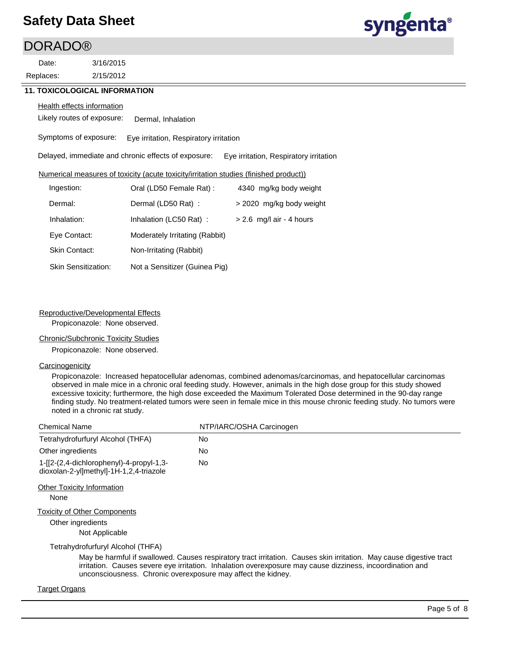### DORADO®

2/15/2012 3/16/2015 Replaces: Date:



### **11. TOXICOLOGICAL INFORMATION**

#### **Health effects information**

Likely routes of exposure: Dermal, Inhalation

Symptoms of exposure: Eye irritation, Respiratory irritation

Delayed, immediate and chronic effects of exposure: Eye irritation, Respiratory irritation

### Numerical measures of toxicity (acute toxicity/irritation studies (finished product))

| Ingestion:                 | Oral (LD50 Female Rat):        | 4340 mg/kg body weight     |
|----------------------------|--------------------------------|----------------------------|
| Dermal:                    | Dermal (LD50 Rat):             | > 2020 mg/kg body weight   |
| Inhalation:                | Inhalation (LC50 Rat):         | $> 2.6$ mg/l air - 4 hours |
| Eye Contact:               | Moderately Irritating (Rabbit) |                            |
| Skin Contact:              | Non-Irritating (Rabbit)        |                            |
| <b>Skin Sensitization:</b> | Not a Sensitizer (Guinea Pig)  |                            |

### Reproductive/Developmental Effects

Propiconazole: None observed.

### Chronic/Subchronic Toxicity Studies

Propiconazole: None observed.

### **Carcinogenicity**

Propiconazole: Increased hepatocellular adenomas, combined adenomas/carcinomas, and hepatocellular carcinomas observed in male mice in a chronic oral feeding study. However, animals in the high dose group for this study showed excessive toxicity; furthermore, the high dose exceeded the Maximum Tolerated Dose determined in the 90-day range finding study. No treatment-related tumors were seen in female mice in this mouse chronic feeding study. No tumors were noted in a chronic rat study.

| <b>Chemical Name</b>                                                                 | NTP/IARC/OSHA Carcinogen                                                                                                                                                                                                         |
|--------------------------------------------------------------------------------------|----------------------------------------------------------------------------------------------------------------------------------------------------------------------------------------------------------------------------------|
| Tetrahydrofurfuryl Alcohol (THFA)                                                    | No                                                                                                                                                                                                                               |
| Other ingredients                                                                    | No                                                                                                                                                                                                                               |
| $1-[2-(2,4-dichloropheny)]-4-propyl-1,3-$<br>dioxolan-2-yl]methyl]-1H-1,2,4-triazole | No.                                                                                                                                                                                                                              |
| <b>Other Toxicity Information</b>                                                    |                                                                                                                                                                                                                                  |
| None                                                                                 |                                                                                                                                                                                                                                  |
| <b>Toxicity of Other Components</b>                                                  |                                                                                                                                                                                                                                  |
| Other ingredients                                                                    |                                                                                                                                                                                                                                  |
| Not Applicable                                                                       |                                                                                                                                                                                                                                  |
| Tetrahydrofurfuryl Alcohol (THFA)                                                    |                                                                                                                                                                                                                                  |
| unconsciousness. Chronic overexposure may affect the kidney.                         | May be harmful if swallowed. Causes respiratory tract irritation. Causes skin irritation. May cause digestive tract<br>irritation. Causes severe eye irritation. Inhalation overexposure may cause dizziness, incoordination and |
| Target Organs                                                                        |                                                                                                                                                                                                                                  |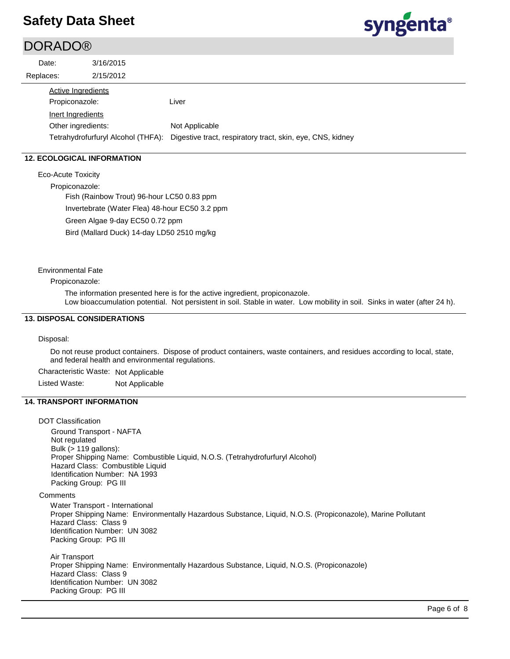### **DORADO®**

| Date:                                       | 3/16/2015                          |                                                                              |
|---------------------------------------------|------------------------------------|------------------------------------------------------------------------------|
| Replaces:                                   | 2/15/2012                          |                                                                              |
| <b>Active Ingredients</b><br>Propiconazole: |                                    | Liver                                                                        |
| Inert Ingredients<br>Other ingredients:     | Tetrahydrofurfuryl Alcohol (THFA): | Not Applicable<br>Digestive tract, respiratory tract, skin, eye, CNS, kidney |

### **12. ECOLOGICAL INFORMATION**

Eco-Acute Toxicity

Propiconazole:

Fish (Rainbow Trout) 96-hour LC50 0.83 ppm Invertebrate (Water Flea) 48-hour EC50 3.2 ppm Green Algae 9-day EC50 0.72 ppm Bird (Mallard Duck) 14-day LD50 2510 mg/kg

Environmental Fate

#### Propiconazole:

The information presented here is for the active ingredient, propiconazole. Low bioaccumulation potential. Not persistent in soil. Stable in water. Low mobility in soil. Sinks in water (after 24 h).

### **13. DISPOSAL CONSIDERATIONS**

#### Disposal:

Do not reuse product containers. Dispose of product containers, waste containers, and residues according to local, state, and federal health and environmental regulations.

Characteristic Waste: Not Applicable

Listed Waste: Not Applicable

### **14. TRANSPORT INFORMATION**

DOT Classification Ground Transport - NAFTA Not regulated Bulk (> 119 gallons): Proper Shipping Name: Combustible Liquid, N.O.S. (Tetrahydrofurfuryl Alcohol) Hazard Class: Combustible Liquid Identification Number: NA 1993 Packing Group: PG III **Comments** Water Transport - International Proper Shipping Name: Environmentally Hazardous Substance, Liquid, N.O.S. (Propiconazole), Marine Pollutant Hazard Class: Class 9 Identification Number: UN 3082 Packing Group: PG III Air Transport Proper Shipping Name: Environmentally Hazardous Substance, Liquid, N.O.S. (Propiconazole) Hazard Class: Class 9 Identification Number: UN 3082 Packing Group: PG III



syngenta®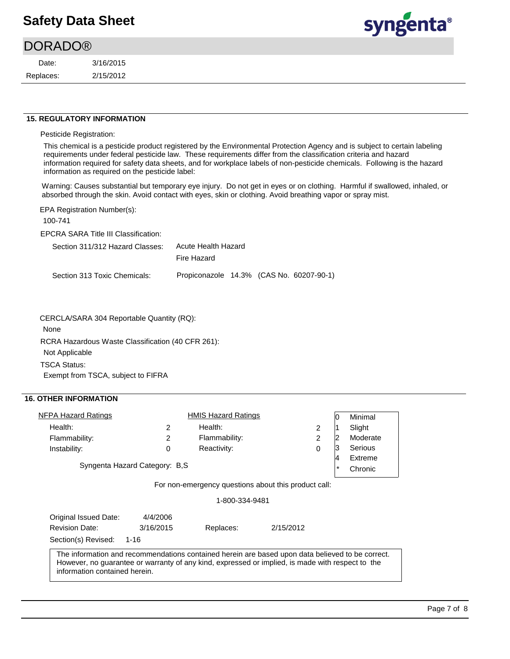# syngenta®

| <b>DORADO®</b> |           |
|----------------|-----------|
| Date:          | 3/16/2015 |
| Replaces:      | 2/15/2012 |

#### **15. REGULATORY INFORMATION**

Pesticide Registration:

This chemical is a pesticide product registered by the Environmental Protection Agency and is subject to certain labeling requirements under federal pesticide law. These requirements differ from the classification criteria and hazard information required for safety data sheets, and for workplace labels of non-pesticide chemicals. Following is the hazard information as required on the pesticide label:

Warning: Causes substantial but temporary eye injury. Do not get in eyes or on clothing. Harmful if swallowed, inhaled, or absorbed through the skin. Avoid contact with eyes, skin or clothing. Avoid breathing vapor or spray mist.

EPA Registration Number(s):

100-741

EPCRA SARA Title III Classification:

| Section 311/312 Hazard Classes: | Acute Health Hazard                      |
|---------------------------------|------------------------------------------|
|                                 | Fire Hazard                              |
| Section 313 Toxic Chemicals:    | Propiconazole 14.3% (CAS No. 60207-90-1) |

CERCLA/SARA 304 Reportable Quantity (RQ):

None

RCRA Hazardous Waste Classification (40 CFR 261): Not Applicable TSCA Status: Exempt from TSCA, subject to FIFRA

### **16. OTHER INFORMATION**

| NFPA Hazard Ratings            |   | <b>HMIS Hazard Ratings</b> |   | 10     | Minimal  |
|--------------------------------|---|----------------------------|---|--------|----------|
| Health:                        |   | Health:                    |   |        | Slight   |
| Flammability:                  | 2 | Flammability:              | 2 | 0      | Moderate |
| Instability:                   |   | Reactivity:                |   | 13     | Serious  |
|                                | 4 | Extreme                    |   |        |          |
| Syngenta Hazard Category: B.S. |   |                            |   | $\ast$ | Chronic  |

For non-emergency questions about this product call:

1-800-334-9481

| Original Issued Date:         | 4/4/2006  |           |                                                                                                                                                                                                      |  |
|-------------------------------|-----------|-----------|------------------------------------------------------------------------------------------------------------------------------------------------------------------------------------------------------|--|
| <b>Revision Date:</b>         | 3/16/2015 | Replaces: | 2/15/2012                                                                                                                                                                                            |  |
| Section(s) Revised:           | 1-16      |           |                                                                                                                                                                                                      |  |
| information contained herein. |           |           | The information and recommendations contained herein are based upon data believed to be correct.<br>However, no guarantee or warranty of any kind, expressed or implied, is made with respect to the |  |